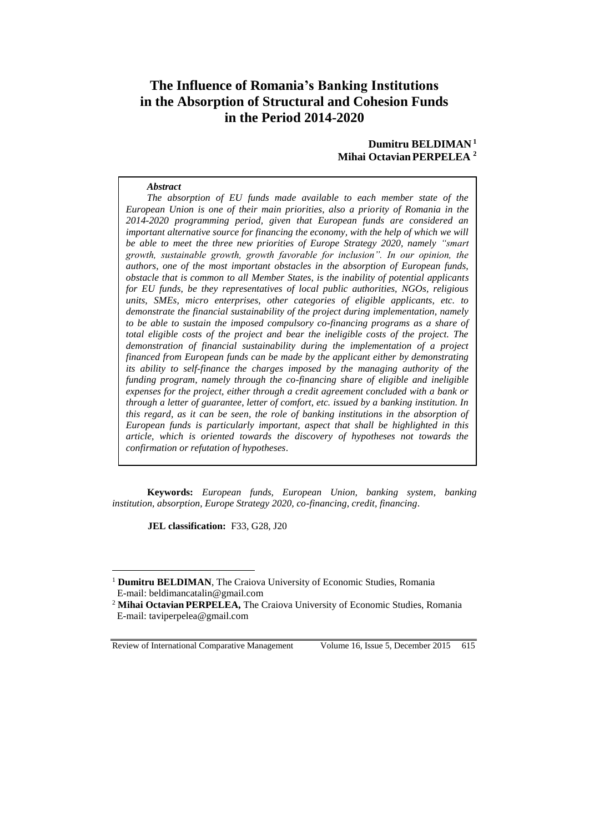# **The Influence of Romania's Banking Institutions in the Absorption of Structural and Cohesion Funds in the Period 2014-2020**

## **Dumitru BELDIMAN <sup>1</sup> Mihai OctavianPERPELEA <sup>2</sup>**

#### *Abstract*

*The absorption of EU funds made available to each member state of the European Union is one of their main priorities, also a priority of Romania in the 2014-2020 programming period, given that European funds are considered an important alternative source for financing the economy, with the help of which we will be able to meet the three new priorities of Europe Strategy 2020, namely "smart growth, sustainable growth, growth favorable for inclusion". In our opinion, the authors, one of the most important obstacles in the absorption of European funds, obstacle that is common to all Member States, is the inability of potential applicants for EU funds, be they representatives of local public authorities, NGOs, religious units, SMEs, micro enterprises, other categories of eligible applicants, etc. to demonstrate the financial sustainability of the project during implementation, namely to be able to sustain the imposed compulsory co-financing programs as a share of total eligible costs of the project and bear the ineligible costs of the project. The demonstration of financial sustainability during the implementation of a project financed from European funds can be made by the applicant either by demonstrating its ability to self-finance the charges imposed by the managing authority of the funding program, namely through the co-financing share of eligible and ineligible expenses for the project, either through a credit agreement concluded with a bank or through a letter of guarantee, letter of comfort, etc. issued by a banking institution. In this regard, as it can be seen, the role of banking institutions in the absorption of European funds is particularly important, aspect that shall be highlighted in this article, which is oriented towards the discovery of hypotheses not towards the confirmation or refutation of hypotheses*.

**Keywords:** *European funds, European Union, banking system, banking institution, absorption, Europe Strategy 2020, co-financing, credit, financing*.

**JEL classification:** F33, G28, J20

Review of International Comparative Management Volume 16, Issue 5, December 2015 615

 $\overline{a}$ 

<sup>&</sup>lt;sup>1</sup> **Dumitru BELDIMAN**, The Craiova University of Economic Studies, Romania E-mail: beldimancatalin@gmail.com

<sup>2</sup> **Mihai Octavian PERPELEA,** The Craiova University of Economic Studies, Romania E-mail: taviperpelea@gmail.com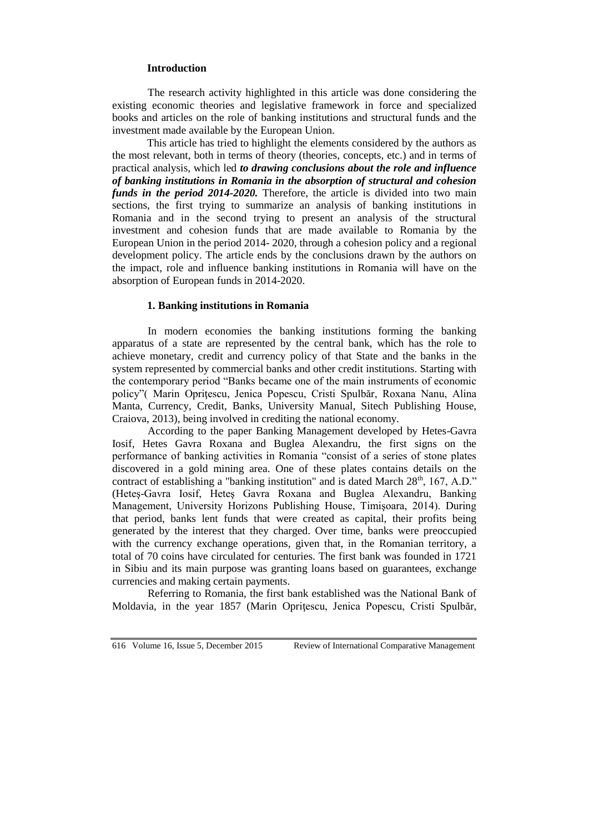## **Introduction**

The research activity highlighted in this article was done considering the existing economic theories and legislative framework in force and specialized books and articles on the role of banking institutions and structural funds and the investment made available by the European Union.

This article has tried to highlight the elements considered by the authors as the most relevant, both in terms of theory (theories, concepts, etc.) and in terms of practical analysis, which led *to drawing conclusions about the role and influence of banking institutions in Romania in the absorption of structural and cohesion funds in the period 2014-2020.* Therefore, the article is divided into two main sections, the first trying to summarize an analysis of banking institutions in Romania and in the second trying to present an analysis of the structural investment and cohesion funds that are made available to Romania by the European Union in the period 2014- 2020, through a cohesion policy and a regional development policy. The article ends by the conclusions drawn by the authors on the impact, role and influence banking institutions in Romania will have on the absorption of European funds in 2014-2020.

### **1. Banking institutions in Romania**

In modern economies the banking institutions forming the banking apparatus of a state are represented by the central bank, which has the role to achieve monetary, credit and currency policy of that State and the banks in the system represented by commercial banks and other credit institutions. Starting with the contemporary period "Banks became one of the main instruments of economic policy"( Marin Opriţescu, Jenica Popescu, Cristi Spulbăr, Roxana Nanu, Alina Manta, Currency, Credit, Banks, University Manual, Sitech Publishing House, Craiova, 2013), being involved in crediting the national economy.

According to the paper Banking Management developed by Hetes-Gavra Iosif, Hetes Gavra Roxana and Buglea Alexandru, the first signs on the performance of banking activities in Romania "consist of a series of stone plates discovered in a gold mining area. One of these plates contains details on the contract of establishing a "banking institution" and is dated March  $28<sup>th</sup>$ , 167, A.D." (Heteş-Gavra Iosif, Heteş Gavra Roxana and Buglea Alexandru, Banking Management, University Horizons Publishing House, Timişoara, 2014). During that period, banks lent funds that were created as capital, their profits being generated by the interest that they charged. Over time, banks were preoccupied with the currency exchange operations, given that, in the Romanian territory, a total of 70 coins have circulated for centuries. The first bank was founded in 1721 in Sibiu and its main purpose was granting loans based on guarantees, exchange currencies and making certain payments.

Referring to Romania, the first bank established was the National Bank of Moldavia, in the year 1857 (Marin Opriţescu, Jenica Popescu, Cristi Spulbăr,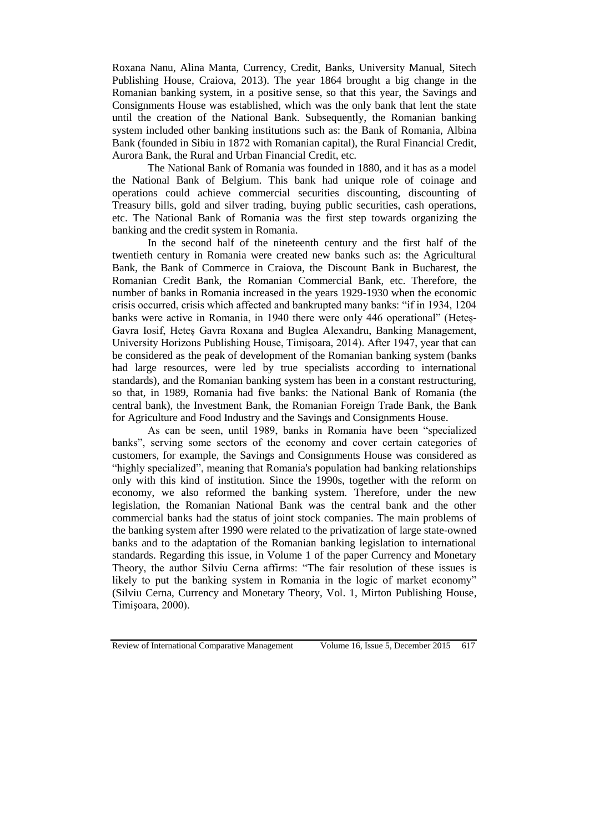Roxana Nanu, Alina Manta, Currency, Credit, Banks, University Manual, Sitech Publishing House, Craiova, 2013). The year 1864 brought a big change in the Romanian banking system, in a positive sense, so that this year, the Savings and Consignments House was established, which was the only bank that lent the state until the creation of the National Bank. Subsequently, the Romanian banking system included other banking institutions such as: the Bank of Romania, Albina Bank (founded in Sibiu in 1872 with Romanian capital), the Rural Financial Credit, Aurora Bank, the Rural and Urban Financial Credit, etc.

The National Bank of Romania was founded in 1880, and it has as a model the National Bank of Belgium. This bank had unique role of coinage and operations could achieve commercial securities discounting, discounting of Treasury bills, gold and silver trading, buying public securities, cash operations, etc. The National Bank of Romania was the first step towards organizing the banking and the credit system in Romania.

In the second half of the nineteenth century and the first half of the twentieth century in Romania were created new banks such as: the Agricultural Bank, the Bank of Commerce in Craiova, the Discount Bank in Bucharest, the Romanian Credit Bank, the Romanian Commercial Bank, etc. Therefore, the number of banks in Romania increased in the years 1929-1930 when the economic crisis occurred, crisis which affected and bankrupted many banks: "if in 1934, 1204 banks were active in Romania, in 1940 there were only 446 operational" (Heteş-Gavra Iosif, Heteş Gavra Roxana and Buglea Alexandru, Banking Management, University Horizons Publishing House, Timişoara, 2014). After 1947, year that can be considered as the peak of development of the Romanian banking system (banks had large resources, were led by true specialists according to international standards), and the Romanian banking system has been in a constant restructuring, so that, in 1989, Romania had five banks: the National Bank of Romania (the central bank), the Investment Bank, the Romanian Foreign Trade Bank, the Bank for Agriculture and Food Industry and the Savings and Consignments House.

As can be seen, until 1989, banks in Romania have been "specialized banks", serving some sectors of the economy and cover certain categories of customers, for example, the Savings and Consignments House was considered as "highly specialized", meaning that Romania's population had banking relationships only with this kind of institution. Since the 1990s, together with the reform on economy, we also reformed the banking system. Therefore, under the new legislation, the Romanian National Bank was the central bank and the other commercial banks had the status of joint stock companies. The main problems of the banking system after 1990 were related to the privatization of large state-owned banks and to the adaptation of the Romanian banking legislation to international standards. Regarding this issue, in Volume 1 of the paper Currency and Monetary Theory, the author Silviu Cerna affirms: "The fair resolution of these issues is likely to put the banking system in Romania in the logic of market economy" (Silviu Cerna, Currency and Monetary Theory, Vol. 1, Mirton Publishing House, Timişoara, 2000).

Review of International Comparative Management Volume 16, Issue 5, December 2015 617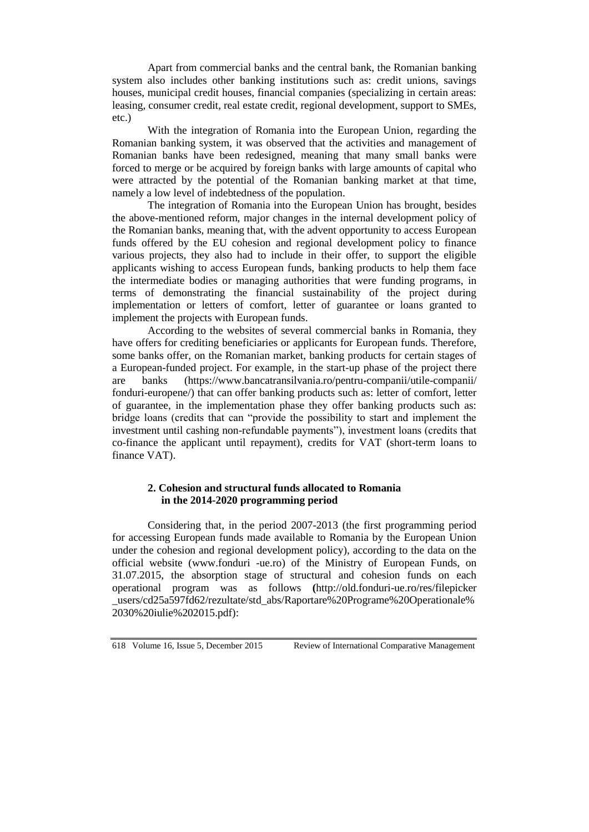Apart from commercial banks and the central bank, the Romanian banking system also includes other banking institutions such as: credit unions, savings houses, municipal credit houses, financial companies (specializing in certain areas: leasing, consumer credit, real estate credit, regional development, support to SMEs, etc.)

With the integration of Romania into the European Union, regarding the Romanian banking system, it was observed that the activities and management of Romanian banks have been redesigned, meaning that many small banks were forced to merge or be acquired by foreign banks with large amounts of capital who were attracted by the potential of the Romanian banking market at that time, namely a low level of indebtedness of the population.

The integration of Romania into the European Union has brought, besides the above-mentioned reform, major changes in the internal development policy of the Romanian banks, meaning that, with the advent opportunity to access European funds offered by the EU cohesion and regional development policy to finance various projects, they also had to include in their offer, to support the eligible applicants wishing to access European funds, banking products to help them face the intermediate bodies or managing authorities that were funding programs, in terms of demonstrating the financial sustainability of the project during implementation or letters of comfort, letter of guarantee or loans granted to implement the projects with European funds.

According to the websites of several commercial banks in Romania, they have offers for crediting beneficiaries or applicants for European funds. Therefore, some banks offer, on the Romanian market, banking products for certain stages of a European-funded project. For example, in the start-up phase of the project there are banks [\(https://www.bancatransilvania.ro/pentru-companii/utile-companii/](https://www.bancatransilvania.ro/pentru-companii/utile-companii/fonduri-europene/)  [fonduri-europene/\)](https://www.bancatransilvania.ro/pentru-companii/utile-companii/fonduri-europene/) that can offer banking products such as: letter of comfort, letter of guarantee, in the implementation phase they offer banking products such as: bridge loans (credits that can "provide the possibility to start and implement the investment until cashing non-refundable payments"), investment loans (credits that co-finance the applicant until repayment), credits for VAT (short-term loans to finance VAT).

## **2. Cohesion and structural funds allocated to Romania in the 2014-2020 programming period**

Considering that, in the period 2007-2013 (the first programming period for accessing European funds made available to Romania by the European Union under the cohesion and regional development policy), according to the data on the official website (www.fonduri -ue.ro) of the Ministry of European Funds, on 31.07.2015, the absorption stage of structural and cohesion funds on each operational program was as follows **(**[http://old.fonduri-ue.ro/res/filepicker](http://old.fonduri-ue.ro/res/filepicker_users/cd25a597fd62/rezultate/std_abs/Raportare%20Programe%20Operationale%2030%20iulie%202015.pdf) users/cd25a597fd62/rezultate/std\_abs/Raportare%20Programe%20Operationale% [2030%20iulie%202015.pdf\)](http://old.fonduri-ue.ro/res/filepicker_users/cd25a597fd62/rezultate/std_abs/Raportare%20Programe%20Operationale%2030%20iulie%202015.pdf):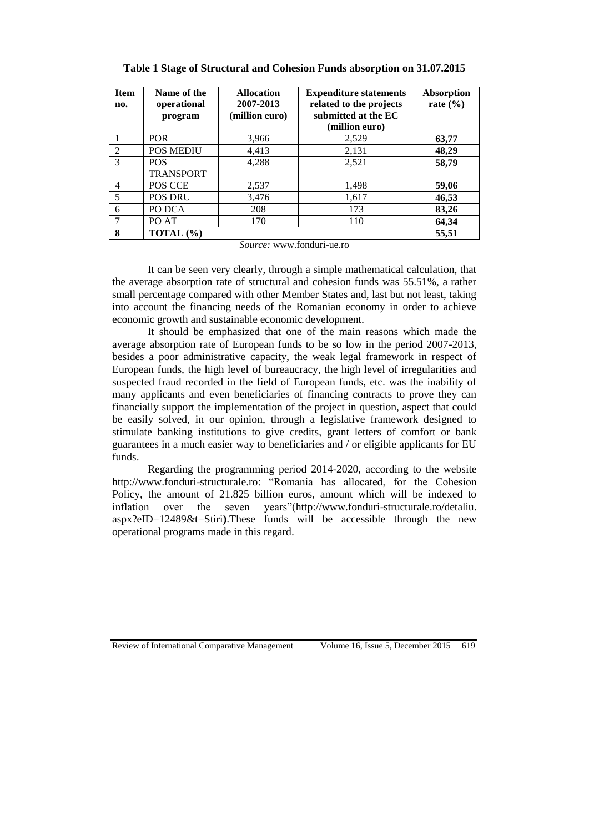| <b>Item</b><br>no. | Name of the<br>operational     | <b>Allocation</b><br>2007-2013 | <b>Expenditure statements</b><br>related to the projects | <b>Absorption</b><br>rate $(\% )$ |
|--------------------|--------------------------------|--------------------------------|----------------------------------------------------------|-----------------------------------|
|                    | program                        | (million euro)                 | submitted at the EC<br>(million euro)                    |                                   |
|                    | <b>POR</b>                     | 3,966                          | 2,529                                                    | 63,77                             |
| $\mathfrak{D}$     | <b>POS MEDIU</b>               | 4,413                          | 2,131                                                    | 48,29                             |
| 3                  | <b>POS</b><br><b>TRANSPORT</b> | 4,288                          | 2,521                                                    | 58,79                             |
| 4                  | POS CCE                        | 2,537                          | 1,498                                                    | 59,06                             |
| 5                  | POS DRU                        | 3,476                          | 1,617                                                    | 46,53                             |
| 6                  | PO DCA                         | 208                            | 173                                                      | 83,26                             |
|                    | PO AT                          | 170                            | 110                                                      | 64,34                             |
| 8                  | TOTAL $(\% )$                  |                                |                                                          | 55,51                             |

**Table 1 Stage of Structural and Cohesion Funds absorption on 31.07.2015**

*Source:* [www.fonduri-ue.ro](http://www.fonduri-ue.ro/)

It can be seen very clearly, through a simple mathematical calculation, that the average absorption rate of structural and cohesion funds was 55.51%, a rather small percentage compared with other Member States and, last but not least, taking into account the financing needs of the Romanian economy in order to achieve economic growth and sustainable economic development.

It should be emphasized that one of the main reasons which made the average absorption rate of European funds to be so low in the period 2007-2013, besides a poor administrative capacity, the weak legal framework in respect of European funds, the high level of bureaucracy, the high level of irregularities and suspected fraud recorded in the field of European funds, etc. was the inability of many applicants and even beneficiaries of financing contracts to prove they can financially support the implementation of the project in question, aspect that could be easily solved, in our opinion, through a legislative framework designed to stimulate banking institutions to give credits, grant letters of comfort or bank guarantees in a much easier way to beneficiaries and / or eligible applicants for EU funds.

Regarding the programming period 2014-2020, according to the website [http://www.fonduri-structurale.ro:](http://www.fonduri-structurale.ro/) "Romania has allocated, for the Cohesion Policy, the amount of 21.825 billion euros, amount which will be indexed to inflation over the seven years"[\(http://www.fonduri-structurale.ro/detaliu.](http://www.fonduri-structurale.ro/detaliu.%20aspx?eID=12489&t=Stiri)  [aspx?eID=12489&t=Stiri](http://www.fonduri-structurale.ro/detaliu.%20aspx?eID=12489&t=Stiri)**)**.These funds will be accessible through the new operational programs made in this regard.

Review of International Comparative Management Volume 16, Issue 5, December 2015 619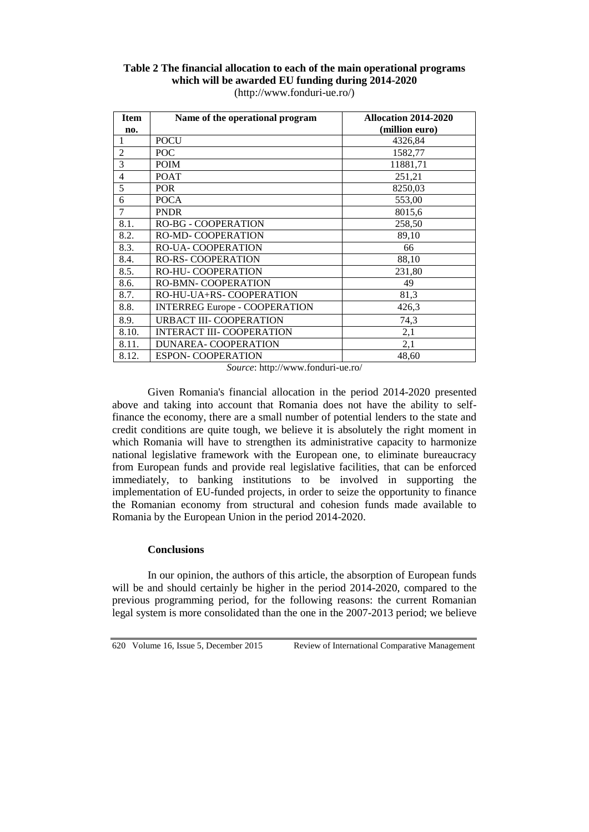| <b>Item</b>    | Name of the operational program      | Allocation 2014-2020 |
|----------------|--------------------------------------|----------------------|
| no.            |                                      | (million euro)       |
| 1              | <b>POCU</b>                          | 4326,84              |
| $\overline{2}$ | POC                                  | 1582,77              |
| 3              | <b>POIM</b>                          | 11881,71             |
| 4              | <b>POAT</b>                          | 251,21               |
| 5              | <b>POR</b>                           | 8250,03              |
| 6              | <b>POCA</b>                          | 553,00               |
| 7              | <b>PNDR</b>                          | 8015,6               |
| 8.1.           | <b>RO-BG - COOPERATION</b>           | 258,50               |
| 8.2.           | <b>RO-MD- COOPERATION</b>            | 89,10                |
| 8.3.           | <b>RO-UA- COOPERATION</b>            | 66                   |
| 8.4.           | <b>RO-RS- COOPERATION</b>            | 88,10                |
| 8.5.           | <b>RO-HU- COOPERATION</b>            | 231,80               |
| 8.6.           | <b>RO-BMN- COOPERATION</b>           | 49                   |
| 8.7.           | RO-HU-UA+RS- COOPERATION             | 81,3                 |
| 8.8.           | <b>INTERREG Europe - COOPERATION</b> | 426,3                |
| 8.9.           | <b>URBACT III- COOPERATION</b>       | 74,3                 |
| 8.10.          | <b>INTERACT III- COOPERATION</b>     | 2,1                  |
| 8.11.          | DUNAREA-COOPERATION                  | 2,1                  |
| 8.12.          | <b>ESPON- COOPERATION</b>            | 48,60                |

## **Table 2 The financial allocation to each of the main operational programs which will be awarded EU funding during 2014-2020**  [\(http://www.fonduri-ue.ro/\)](http://www.fonduri-ue.ro/)

*Source*:<http://www.fonduri-ue.ro/>

Given Romania's financial allocation in the period 2014-2020 presented above and taking into account that Romania does not have the ability to selffinance the economy, there are a small number of potential lenders to the state and credit conditions are quite tough, we believe it is absolutely the right moment in which Romania will have to strengthen its administrative capacity to harmonize national legislative framework with the European one, to eliminate bureaucracy from European funds and provide real legislative facilities, that can be enforced immediately, to banking institutions to be involved in supporting the implementation of EU-funded projects, in order to seize the opportunity to finance the Romanian economy from structural and cohesion funds made available to Romania by the European Union in the period 2014-2020.

## **Conclusions**

In our opinion, the authors of this article, the absorption of European funds will be and should certainly be higher in the period 2014-2020, compared to the previous programming period, for the following reasons: the current Romanian legal system is more consolidated than the one in the 2007-2013 period; we believe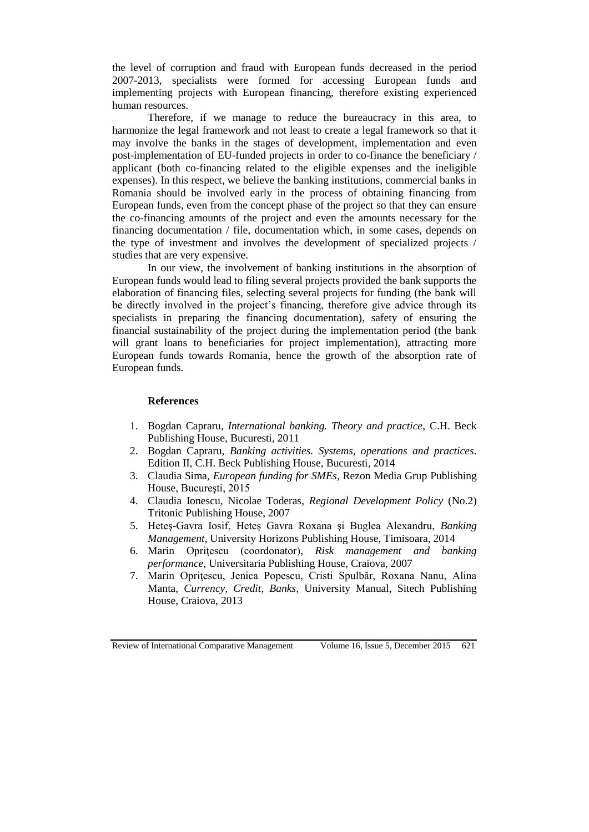the level of corruption and fraud with European funds decreased in the period 2007-2013, specialists were formed for accessing European funds and implementing projects with European financing, therefore existing experienced human resources.

Therefore, if we manage to reduce the bureaucracy in this area, to harmonize the legal framework and not least to create a legal framework so that it may involve the banks in the stages of development, implementation and even post-implementation of EU-funded projects in order to co-finance the beneficiary / applicant (both co-financing related to the eligible expenses and the ineligible expenses). In this respect, we believe the banking institutions, commercial banks in Romania should be involved early in the process of obtaining financing from European funds, even from the concept phase of the project so that they can ensure the co-financing amounts of the project and even the amounts necessary for the financing documentation / file, documentation which, in some cases, depends on the type of investment and involves the development of specialized projects / studies that are very expensive.

In our view, the involvement of banking institutions in the absorption of European funds would lead to filing several projects provided the bank supports the elaboration of financing files, selecting several projects for funding (the bank will be directly involved in the project's financing, therefore give advice through its specialists in preparing the financing documentation), safety of ensuring the financial sustainability of the project during the implementation period (the bank will grant loans to beneficiaries for project implementation), attracting more European funds towards Romania, hence the growth of the absorption rate of European funds.

### **References**

- 1. Bogdan Capraru, *International banking. Theory and practice*, C.H. Beck Publishing House, Bucuresti, 2011
- 2. Bogdan Capraru, *Banking activities. Systems, operations and practices*. Edition II, C.H. Beck Publishing House, Bucuresti, 2014
- 3. Claudia Sima, *European funding for SMEs,* Rezon Media Grup Publishing House, Bucureşti, 2015
- 4. Claudia Ionescu, Nicolae Toderas, *Regional Development Policy* (No.2) Tritonic Publishing House, 2007
- 5. Heteş-Gavra Iosif, Heteş Gavra Roxana şi Buglea Alexandru, *Banking Management*, University Horizons Publishing House, Timisoara, 2014
- 6. Marin Opriţescu (coordonator), *Risk management and banking performance*, Universitaria Publishing House, Craiova, 2007
- 7. Marin Opriţescu, Jenica Popescu, Cristi Spulbăr, Roxana Nanu, Alina Manta, *Currency, Credit, Banks,* University Manual, Sitech Publishing House, Craiova, 2013

Review of International Comparative Management Volume 16, Issue 5, December 2015 621